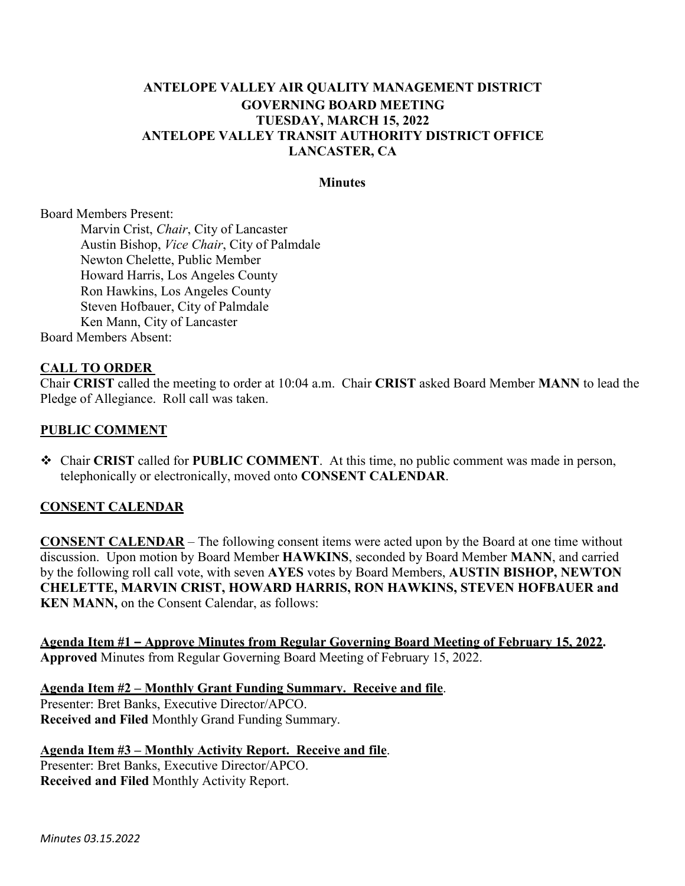### **ANTELOPE VALLEY AIR QUALITY MANAGEMENT DISTRICT GOVERNING BOARD MEETING TUESDAY, MARCH 15, 2022 ANTELOPE VALLEY TRANSIT AUTHORITY DISTRICT OFFICE LANCASTER, CA**

#### **Minutes**

Board Members Present:

Marvin Crist, *Chair*, City of Lancaster Austin Bishop, *Vice Chair*, City of Palmdale Newton Chelette, Public Member Howard Harris, Los Angeles County Ron Hawkins, Los Angeles County Steven Hofbauer, City of Palmdale Ken Mann, City of Lancaster Board Members Absent:

#### **CALL TO ORDER**

Chair **CRIST** called the meeting to order at 10:04 a.m. Chair **CRIST** asked Board Member **MANN** to lead the Pledge of Allegiance. Roll call was taken.

#### **PUBLIC COMMENT**

 Chair **CRIST** called for **PUBLIC COMMENT**. At this time, no public comment was made in person, telephonically or electronically, moved onto **CONSENT CALENDAR**.

#### **CONSENT CALENDAR**

**CONSENT CALENDAR** – The following consent items were acted upon by the Board at one time without discussion. Upon motion by Board Member **HAWKINS**, seconded by Board Member **MANN**, and carried by the following roll call vote, with seven **AYES** votes by Board Members, **AUSTIN BISHOP, NEWTON CHELETTE, MARVIN CRIST, HOWARD HARRIS, RON HAWKINS, STEVEN HOFBAUER and KEN MANN,** on the Consent Calendar, as follows:

**Agenda Item #1 – Approve Minutes from Regular Governing Board Meeting of February 15, 2022. Approved** Minutes from Regular Governing Board Meeting of February 15, 2022.

**Agenda Item #2 – Monthly Grant Funding Summary. Receive and file**. Presenter: Bret Banks, Executive Director/APCO. **Received and Filed** Monthly Grand Funding Summary.

**Agenda Item #3 – Monthly Activity Report. Receive and file**. Presenter: Bret Banks, Executive Director/APCO. **Received and Filed** Monthly Activity Report.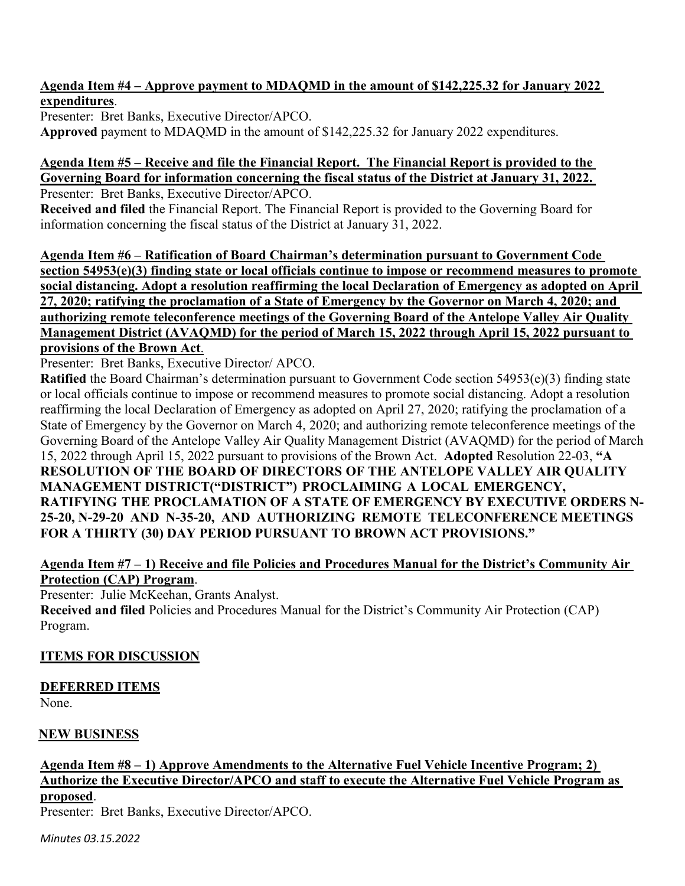### **Agenda Item #4 – Approve payment to MDAQMD in the amount of \$142,225.32 for January 2022 expenditures**.

Presenter: Bret Banks, Executive Director/APCO. **Approved** payment to MDAQMD in the amount of \$142,225.32 for January 2022 expenditures.

### **Agenda Item #5 – Receive and file the Financial Report. The Financial Report is provided to the Governing Board for information concerning the fiscal status of the District at January 31, 2022.**

Presenter: Bret Banks, Executive Director/APCO.

**Received and filed** the Financial Report. The Financial Report is provided to the Governing Board for information concerning the fiscal status of the District at January 31, 2022.

**Agenda Item #6 – Ratification of Board Chairman's determination pursuant to Government Code section 54953(e)(3) finding state or local officials continue to impose or recommend measures to promote social distancing. Adopt a resolution reaffirming the local Declaration of Emergency as adopted on April 27, 2020; ratifying the proclamation of a State of Emergency by the Governor on March 4, 2020; and authorizing remote teleconference meetings of the Governing Board of the Antelope Valley Air Quality Management District (AVAQMD) for the period of March 15, 2022 through April 15, 2022 pursuant to provisions of the Brown Act**.

Presenter: Bret Banks, Executive Director/ APCO.

**Ratified** the Board Chairman's determination pursuant to Government Code section 54953(e)(3) finding state or local officials continue to impose or recommend measures to promote social distancing. Adopt a resolution reaffirming the local Declaration of Emergency as adopted on April 27, 2020; ratifying the proclamation of a State of Emergency by the Governor on March 4, 2020; and authorizing remote teleconference meetings of the Governing Board of the Antelope Valley Air Quality Management District (AVAQMD) for the period of March 15, 2022 through April 15, 2022 pursuant to provisions of the Brown Act. **Adopted** Resolution 22-03, **"A RESOLUTION OF THE BOARD OF DIRECTORS OF THE ANTELOPE VALLEY AIR QUALITY MANAGEMENT DISTRICT("DISTRICT") PROCLAIMING A LOCAL EMERGENCY, RATIFYING THE PROCLAMATION OF A STATE OF EMERGENCY BY EXECUTIVE ORDERS N-25-20, N-29-20 AND N-35-20, AND AUTHORIZING REMOTE TELECONFERENCE MEETINGS FOR A THIRTY (30) DAY PERIOD PURSUANT TO BROWN ACT PROVISIONS."**

# **Agenda Item #7 – 1) Receive and file Policies and Procedures Manual for the District's Community Air Protection (CAP) Program**.

Presenter: Julie McKeehan, Grants Analyst.

**Received and filed** Policies and Procedures Manual for the District's Community Air Protection (CAP) Program.

# **ITEMS FOR DISCUSSION**

# **DEFERRED ITEMS**

None.

# **NEW BUSINESS**

# **Agenda Item #8 – 1) Approve Amendments to the Alternative Fuel Vehicle Incentive Program; 2) Authorize the Executive Director/APCO and staff to execute the Alternative Fuel Vehicle Program as proposed**.

Presenter: Bret Banks, Executive Director/APCO.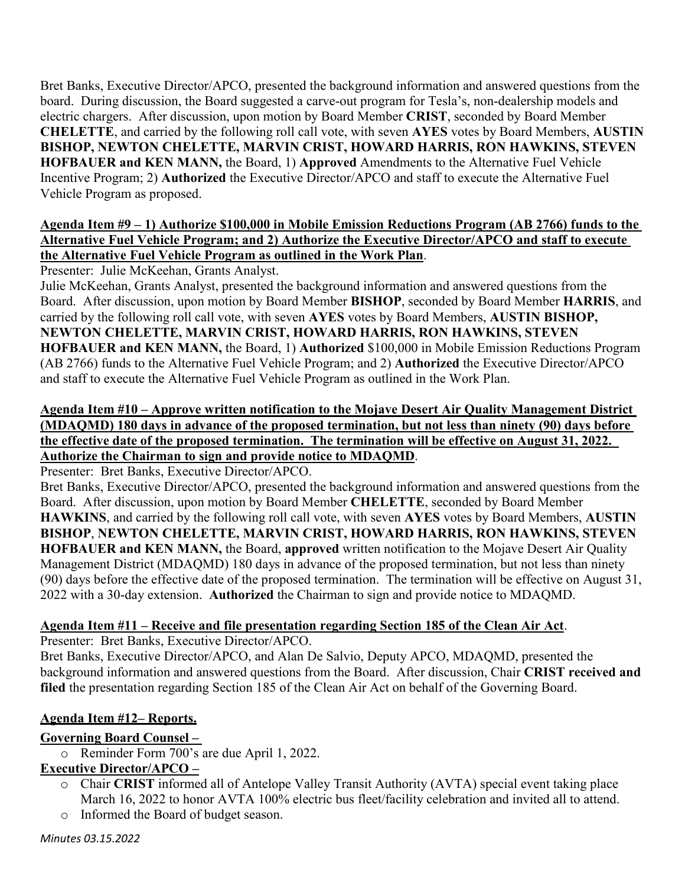Bret Banks, Executive Director/APCO, presented the background information and answered questions from the board. During discussion, the Board suggested a carve-out program for Tesla's, non-dealership models and electric chargers. After discussion, upon motion by Board Member **CRIST**, seconded by Board Member **CHELETTE**, and carried by the following roll call vote, with seven **AYES** votes by Board Members, **AUSTIN BISHOP, NEWTON CHELETTE, MARVIN CRIST, HOWARD HARRIS, RON HAWKINS, STEVEN HOFBAUER and KEN MANN,** the Board, 1) **Approved** Amendments to the Alternative Fuel Vehicle Incentive Program; 2) **Authorized** the Executive Director/APCO and staff to execute the Alternative Fuel Vehicle Program as proposed.

#### **Agenda Item #9 – 1) Authorize \$100,000 in Mobile Emission Reductions Program (AB 2766) funds to the Alternative Fuel Vehicle Program; and 2) Authorize the Executive Director/APCO and staff to execute the Alternative Fuel Vehicle Program as outlined in the Work Plan**.

Presenter: Julie McKeehan, Grants Analyst.

Julie McKeehan, Grants Analyst, presented the background information and answered questions from the Board. After discussion, upon motion by Board Member **BISHOP**, seconded by Board Member **HARRIS**, and carried by the following roll call vote, with seven **AYES** votes by Board Members, **AUSTIN BISHOP, NEWTON CHELETTE, MARVIN CRIST, HOWARD HARRIS, RON HAWKINS, STEVEN HOFBAUER and KEN MANN,** the Board, 1) **Authorized** \$100,000 in Mobile Emission Reductions Program (AB 2766) funds to the Alternative Fuel Vehicle Program; and 2) **Authorized** the Executive Director/APCO and staff to execute the Alternative Fuel Vehicle Program as outlined in the Work Plan.

### **Agenda Item #10 – Approve written notification to the Mojave Desert Air Quality Management District (MDAQMD) 180 days in advance of the proposed termination, but not less than ninety (90) days before the effective date of the proposed termination. The termination will be effective on August 31, 2022. Authorize the Chairman to sign and provide notice to MDAQMD**.

Presenter: Bret Banks, Executive Director/APCO.

Bret Banks, Executive Director/APCO, presented the background information and answered questions from the Board. After discussion, upon motion by Board Member **CHELETTE**, seconded by Board Member **HAWKINS**, and carried by the following roll call vote, with seven **AYES** votes by Board Members, **AUSTIN BISHOP**, **NEWTON CHELETTE, MARVIN CRIST, HOWARD HARRIS, RON HAWKINS, STEVEN HOFBAUER and KEN MANN,** the Board, **approved** written notification to the Mojave Desert Air Quality Management District (MDAQMD) 180 days in advance of the proposed termination, but not less than ninety (90) days before the effective date of the proposed termination. The termination will be effective on August 31, 2022 with a 30-day extension. **Authorized** the Chairman to sign and provide notice to MDAQMD.

# **Agenda Item #11 – Receive and file presentation regarding Section 185 of the Clean Air Act**.

Presenter: Bret Banks, Executive Director/APCO.

Bret Banks, Executive Director/APCO, and Alan De Salvio, Deputy APCO, MDAQMD, presented the background information and answered questions from the Board. After discussion, Chair **CRIST received and filed** the presentation regarding Section 185 of the Clean Air Act on behalf of the Governing Board.

# **Agenda Item #12– Reports.**

# **Governing Board Counsel –**

o Reminder Form 700's are due April 1, 2022.

# **Executive Director/APCO –**

- o Chair **CRIST** informed all of Antelope Valley Transit Authority (AVTA) special event taking place March 16, 2022 to honor AVTA 100% electric bus fleet/facility celebration and invited all to attend.
- o Informed the Board of budget season.